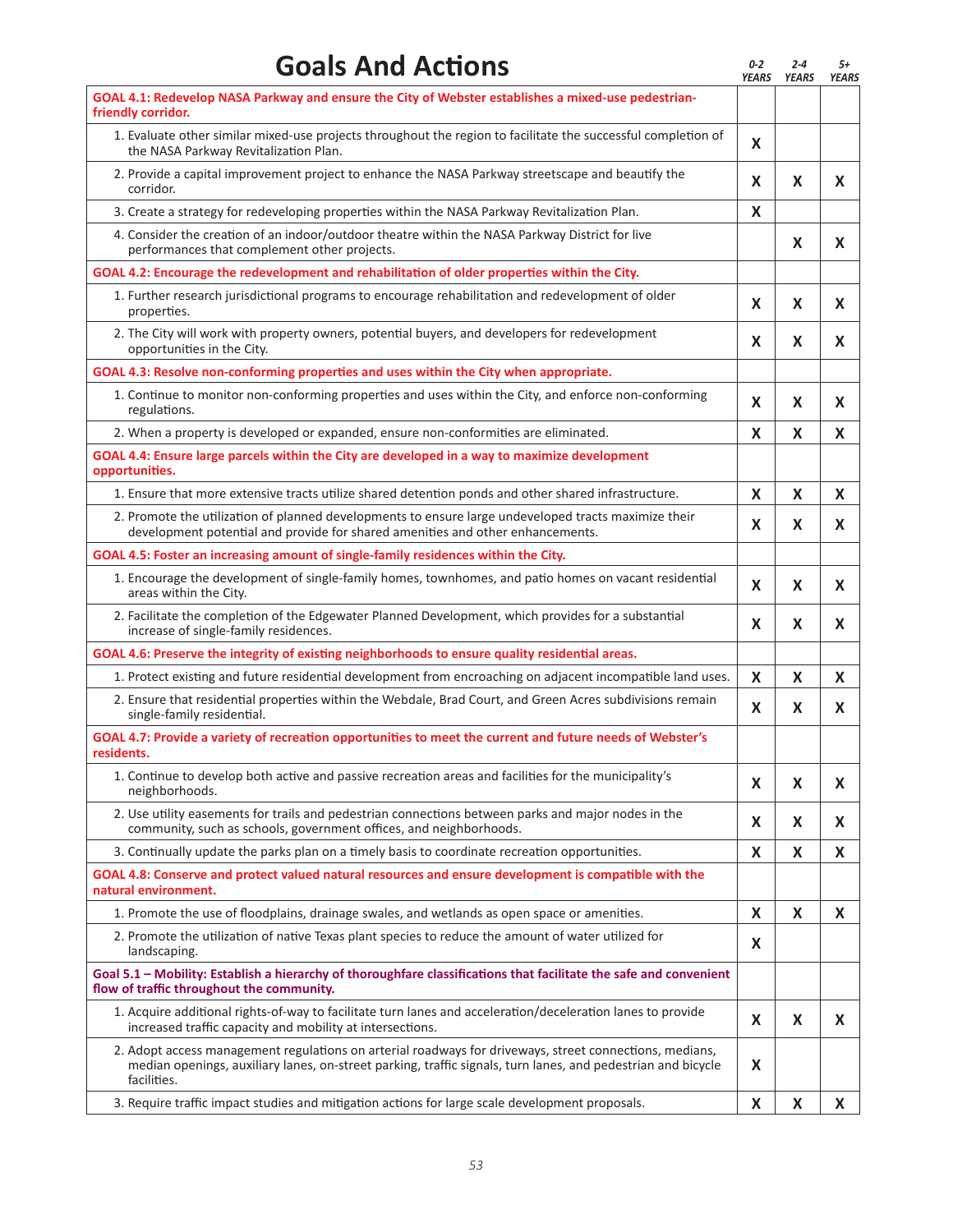| <b>Goals And Actions</b>                                                                                                                                                                                                               | $0 - 2$<br><b>YEARS</b> | $2 - 4$<br><b>YEARS</b> | 5+<br><b>YEARS</b> |
|----------------------------------------------------------------------------------------------------------------------------------------------------------------------------------------------------------------------------------------|-------------------------|-------------------------|--------------------|
| GOAL 4.1: Redevelop NASA Parkway and ensure the City of Webster establishes a mixed-use pedestrian-<br>friendly corridor.                                                                                                              |                         |                         |                    |
| 1. Evaluate other similar mixed-use projects throughout the region to facilitate the successful completion of<br>the NASA Parkway Revitalization Plan.                                                                                 | X                       |                         |                    |
| 2. Provide a capital improvement project to enhance the NASA Parkway streetscape and beautify the<br>corridor.                                                                                                                         | X                       | X                       | X                  |
| 3. Create a strategy for redeveloping properties within the NASA Parkway Revitalization Plan.                                                                                                                                          | X                       |                         |                    |
| 4. Consider the creation of an indoor/outdoor theatre within the NASA Parkway District for live<br>performances that complement other projects.                                                                                        |                         | X                       | X                  |
| GOAL 4.2: Encourage the redevelopment and rehabilitation of older properties within the City.                                                                                                                                          |                         |                         |                    |
| 1. Further research jurisdictional programs to encourage rehabilitation and redevelopment of older<br>properties.                                                                                                                      | X                       | X                       | X                  |
| 2. The City will work with property owners, potential buyers, and developers for redevelopment<br>opportunities in the City.                                                                                                           | X                       | X                       | X                  |
| GOAL 4.3: Resolve non-conforming properties and uses within the City when appropriate.                                                                                                                                                 |                         |                         |                    |
| 1. Continue to monitor non-conforming properties and uses within the City, and enforce non-conforming<br>regulations.                                                                                                                  | X                       | X                       | X                  |
| 2. When a property is developed or expanded, ensure non-conformities are eliminated.                                                                                                                                                   | X                       | X                       | X                  |
| GOAL 4.4: Ensure large parcels within the City are developed in a way to maximize development<br>opportunities.                                                                                                                        |                         |                         |                    |
| 1. Ensure that more extensive tracts utilize shared detention ponds and other shared infrastructure.                                                                                                                                   | X                       | X                       | X                  |
| 2. Promote the utilization of planned developments to ensure large undeveloped tracts maximize their<br>development potential and provide for shared amenities and other enhancements.                                                 | X                       | X                       | X                  |
| GOAL 4.5: Foster an increasing amount of single-family residences within the City.                                                                                                                                                     |                         |                         |                    |
| 1. Encourage the development of single-family homes, townhomes, and patio homes on vacant residential<br>areas within the City.                                                                                                        | X                       | X                       | X                  |
| 2. Facilitate the completion of the Edgewater Planned Development, which provides for a substantial<br>increase of single-family residences.                                                                                           | X                       | X                       | X                  |
| GOAL 4.6: Preserve the integrity of existing neighborhoods to ensure quality residential areas.                                                                                                                                        |                         |                         |                    |
| 1. Protect existing and future residential development from encroaching on adjacent incompatible land uses.                                                                                                                            | X                       | X                       | X                  |
| 2. Ensure that residential properties within the Webdale, Brad Court, and Green Acres subdivisions remain<br>single-family residential.                                                                                                | X                       | X                       | X                  |
| GOAL 4.7: Provide a variety of recreation opportunities to meet the current and future needs of Webster's<br>residents.                                                                                                                |                         |                         |                    |
| 1. Continue to develop both active and passive recreation areas and facilities for the municipality's<br>neighborhoods.                                                                                                                | X                       | X                       | X                  |
| 2. Use utility easements for trails and pedestrian connections between parks and major nodes in the<br>community, such as schools, government offices, and neighborhoods.                                                              | X                       | X                       | X                  |
| 3. Continually update the parks plan on a timely basis to coordinate recreation opportunities.                                                                                                                                         | X                       | X                       | X                  |
| GOAL 4.8: Conserve and protect valued natural resources and ensure development is compatible with the<br>natural environment.                                                                                                          |                         |                         |                    |
| 1. Promote the use of floodplains, drainage swales, and wetlands as open space or amenities.                                                                                                                                           | X                       | X                       | X                  |
| 2. Promote the utilization of native Texas plant species to reduce the amount of water utilized for<br>landscaping.                                                                                                                    | X                       |                         |                    |
| Goal 5.1 - Mobility: Establish a hierarchy of thoroughfare classifications that facilitate the safe and convenient<br>flow of traffic throughout the community.                                                                        |                         |                         |                    |
| 1. Acquire additional rights-of-way to facilitate turn lanes and acceleration/deceleration lanes to provide<br>increased traffic capacity and mobility at intersections.                                                               | X                       | X                       | X                  |
| 2. Adopt access management regulations on arterial roadways for driveways, street connections, medians,<br>median openings, auxiliary lanes, on-street parking, traffic signals, turn lanes, and pedestrian and bicycle<br>facilities. | X                       |                         |                    |
| 3. Require traffic impact studies and mitigation actions for large scale development proposals.                                                                                                                                        | $\pmb{\mathsf{X}}$      | X                       | X                  |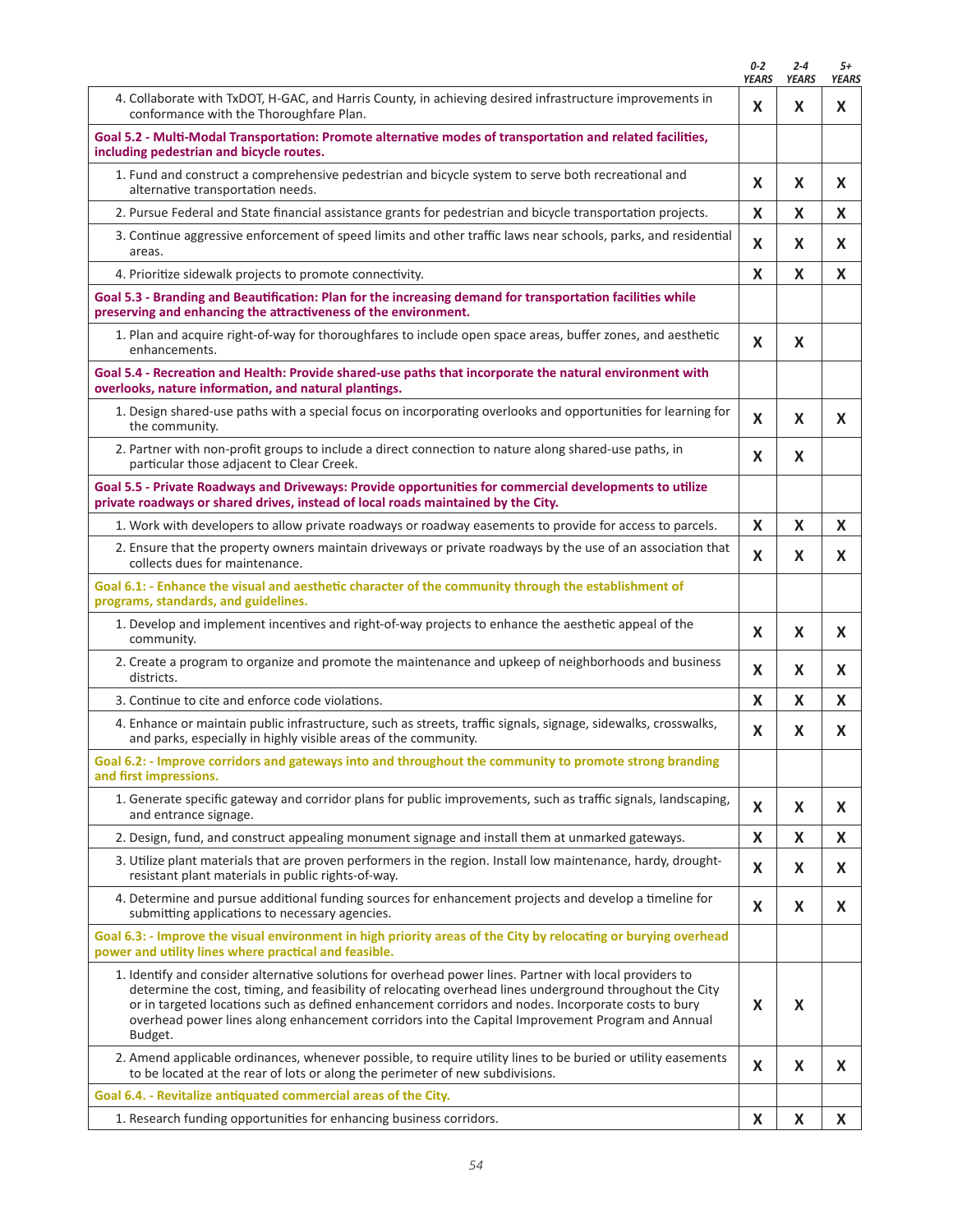|                                                                                                                                                                                                                                                                                                                                                                                                                                            | $0 - 2$<br><b>YEARS</b> | $2 - 4$<br><b>YEARS</b> | 5+<br><b>YEARS</b> |
|--------------------------------------------------------------------------------------------------------------------------------------------------------------------------------------------------------------------------------------------------------------------------------------------------------------------------------------------------------------------------------------------------------------------------------------------|-------------------------|-------------------------|--------------------|
| 4. Collaborate with TxDOT, H-GAC, and Harris County, in achieving desired infrastructure improvements in<br>conformance with the Thoroughfare Plan.                                                                                                                                                                                                                                                                                        | X                       | X                       | $\mathsf{x}$       |
| Goal 5.2 - Multi-Modal Transportation: Promote alternative modes of transportation and related facilities,<br>including pedestrian and bicycle routes.                                                                                                                                                                                                                                                                                     |                         |                         |                    |
| 1. Fund and construct a comprehensive pedestrian and bicycle system to serve both recreational and<br>alternative transportation needs.                                                                                                                                                                                                                                                                                                    | X                       | X                       | X                  |
| 2. Pursue Federal and State financial assistance grants for pedestrian and bicycle transportation projects.                                                                                                                                                                                                                                                                                                                                | X                       | X                       | X                  |
| 3. Continue aggressive enforcement of speed limits and other traffic laws near schools, parks, and residential<br>areas.                                                                                                                                                                                                                                                                                                                   | X                       | X                       | X                  |
| 4. Prioritize sidewalk projects to promote connectivity.                                                                                                                                                                                                                                                                                                                                                                                   | X                       | X                       | X                  |
| Goal 5.3 - Branding and Beautification: Plan for the increasing demand for transportation facilities while<br>preserving and enhancing the attractiveness of the environment.                                                                                                                                                                                                                                                              |                         |                         |                    |
| 1. Plan and acquire right-of-way for thoroughfares to include open space areas, buffer zones, and aesthetic<br>enhancements.                                                                                                                                                                                                                                                                                                               | X                       | X                       |                    |
| Goal 5.4 - Recreation and Health: Provide shared-use paths that incorporate the natural environment with<br>overlooks, nature information, and natural plantings.                                                                                                                                                                                                                                                                          |                         |                         |                    |
| 1. Design shared-use paths with a special focus on incorporating overlooks and opportunities for learning for<br>the community.                                                                                                                                                                                                                                                                                                            | X                       | X                       | X                  |
| 2. Partner with non-profit groups to include a direct connection to nature along shared-use paths, in<br>particular those adjacent to Clear Creek.                                                                                                                                                                                                                                                                                         | X                       | X                       |                    |
| Goal 5.5 - Private Roadways and Driveways: Provide opportunities for commercial developments to utilize<br>private roadways or shared drives, instead of local roads maintained by the City.                                                                                                                                                                                                                                               |                         |                         |                    |
| 1. Work with developers to allow private roadways or roadway easements to provide for access to parcels.                                                                                                                                                                                                                                                                                                                                   | X                       | X                       | X                  |
| 2. Ensure that the property owners maintain driveways or private roadways by the use of an association that<br>collects dues for maintenance.                                                                                                                                                                                                                                                                                              | X                       | X                       | X                  |
| Goal 6.1: - Enhance the visual and aesthetic character of the community through the establishment of<br>programs, standards, and guidelines.                                                                                                                                                                                                                                                                                               |                         |                         |                    |
| 1. Develop and implement incentives and right-of-way projects to enhance the aesthetic appeal of the<br>community.                                                                                                                                                                                                                                                                                                                         | X                       | X                       | X                  |
| 2. Create a program to organize and promote the maintenance and upkeep of neighborhoods and business<br>districts.                                                                                                                                                                                                                                                                                                                         | X                       | X                       | X                  |
| 3. Continue to cite and enforce code violations.                                                                                                                                                                                                                                                                                                                                                                                           | X                       | X                       | X                  |
| 4. Enhance or maintain public infrastructure, such as streets, traffic signals, signage, sidewalks, crosswalks,<br>and parks, especially in highly visible areas of the community.                                                                                                                                                                                                                                                         | X                       | X                       | X                  |
| Goal 6.2: - Improve corridors and gateways into and throughout the community to promote strong branding<br>and first impressions.                                                                                                                                                                                                                                                                                                          |                         |                         |                    |
| 1. Generate specific gateway and corridor plans for public improvements, such as traffic signals, landscaping,<br>and entrance signage.                                                                                                                                                                                                                                                                                                    | X                       | X                       | X                  |
| 2. Design, fund, and construct appealing monument signage and install them at unmarked gateways.                                                                                                                                                                                                                                                                                                                                           | X                       | X                       | X                  |
| 3. Utilize plant materials that are proven performers in the region. Install low maintenance, hardy, drought-<br>resistant plant materials in public rights-of-way.                                                                                                                                                                                                                                                                        | X                       | X                       | X                  |
| 4. Determine and pursue additional funding sources for enhancement projects and develop a timeline for<br>submitting applications to necessary agencies.                                                                                                                                                                                                                                                                                   | X                       | X                       | X                  |
| Goal 6.3: - Improve the visual environment in high priority areas of the City by relocating or burying overhead<br>power and utility lines where practical and feasible.                                                                                                                                                                                                                                                                   |                         |                         |                    |
| 1. Identify and consider alternative solutions for overhead power lines. Partner with local providers to<br>determine the cost, timing, and feasibility of relocating overhead lines underground throughout the City<br>or in targeted locations such as defined enhancement corridors and nodes. Incorporate costs to bury<br>overhead power lines along enhancement corridors into the Capital Improvement Program and Annual<br>Budget. | X                       | X                       |                    |
| 2. Amend applicable ordinances, whenever possible, to require utility lines to be buried or utility easements<br>to be located at the rear of lots or along the perimeter of new subdivisions.                                                                                                                                                                                                                                             | X                       | X                       | X                  |
| Goal 6.4. - Revitalize antiquated commercial areas of the City.                                                                                                                                                                                                                                                                                                                                                                            |                         |                         |                    |
| 1. Research funding opportunities for enhancing business corridors.                                                                                                                                                                                                                                                                                                                                                                        | X                       | X                       | X                  |